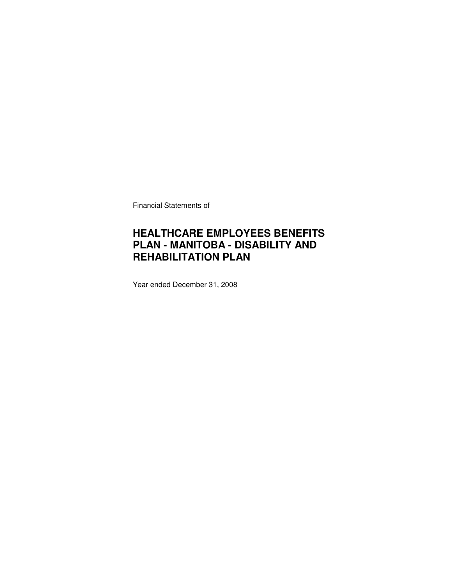Financial Statements of

### **HEALTHCARE EMPLOYEES BENEFITS PLAN - MANITOBA - DISABILITY AND REHABILITATION PLAN**

Year ended December 31, 2008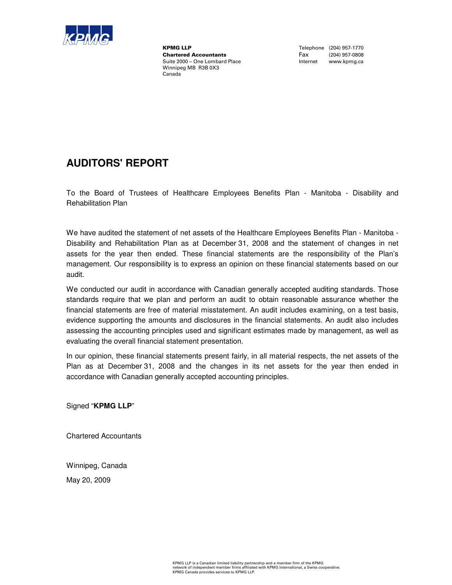

**KPMG LLP**<br>
Chartered Accountants<br>
Chartered Accountants<br>
Tax (204) 957-0808 **Chartered Accountants**<br>Suite 2000 - One Lombard Place Winnipeg MB R3B 0X3 Canada

Internet www.kpmg.ca

### **AUDITORS' REPORT**

To the Board of Trustees of Healthcare Employees Benefits Plan - Manitoba - Disability and Rehabilitation Plan

We have audited the statement of net assets of the Healthcare Employees Benefits Plan - Manitoba - Disability and Rehabilitation Plan as at December 31, 2008 and the statement of changes in net assets for the year then ended. These financial statements are the responsibility of the Plan's management. Our responsibility is to express an opinion on these financial statements based on our audit.

We conducted our audit in accordance with Canadian generally accepted auditing standards. Those standards require that we plan and perform an audit to obtain reasonable assurance whether the financial statements are free of material misstatement. An audit includes examining, on a test basis, evidence supporting the amounts and disclosures in the financial statements. An audit also includes assessing the accounting principles used and significant estimates made by management, as well as evaluating the overall financial statement presentation.

In our opinion, these financial statements present fairly, in all material respects, the net assets of the Plan as at December 31, 2008 and the changes in its net assets for the year then ended in accordance with Canadian generally accepted accounting principles.

Signed "**KPMG LLP**"

Chartered Accountants

Winnipeg, Canada

May 20, 2009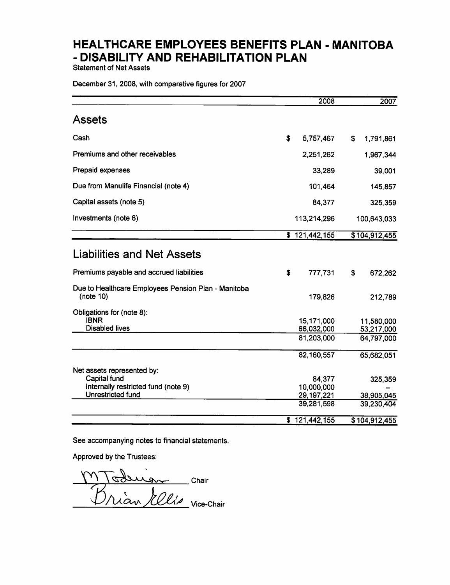**Statement of Net Assets** 

December 31, 2008, with comparative figures for 2007

|                                                                  |    | 2008                        |     | 2007                     |
|------------------------------------------------------------------|----|-----------------------------|-----|--------------------------|
| <b>Assets</b>                                                    |    |                             |     |                          |
| Cash                                                             | \$ | 5,757,467                   | \$. | 1,791,861                |
| Premiums and other receivables                                   |    | 2,251,262                   |     | 1,967,344                |
| Prepaid expenses                                                 |    | 33,289                      |     | 39,001                   |
| Due from Manulife Financial (note 4)                             |    | 101,464                     |     | 145,857                  |
| Capital assets (note 5)                                          |    | 84,377                      |     | 325,359                  |
| Investments (note 6)                                             |    | 113,214,296                 |     | 100,643,033              |
|                                                                  |    | $\overline{\$}$ 121,442,155 |     | \$104,912,455            |
| <b>Liabilities and Net Assets</b>                                |    |                             |     |                          |
| Premiums payable and accrued liabilities                         | S  | 777,731                     | \$  | 672,262                  |
| Due to Healthcare Employees Pension Plan - Manitoba<br>(note 10) |    | 179,826                     |     | 212,789                  |
| Obligations for (note 8):                                        |    |                             |     |                          |
| <b>IBNR</b><br><b>Disabled lives</b>                             |    | 15,171,000<br>66,032,000    |     | 11,580,000<br>53,217,000 |
|                                                                  |    | 81,203,000                  |     | 64,797,000               |
|                                                                  |    | 82,160,557                  |     | 65,682,051               |
| Net assets represented by:                                       |    |                             |     |                          |
| Capital fund<br>Internally restricted fund (note 9)              |    | 84,377<br>10,000,000        |     | 325,359                  |
| <b>Unrestricted fund</b>                                         |    | 29, 197, 221                |     | 38,905,045               |
|                                                                  |    | 39,281,598                  |     | 39,230,404               |
|                                                                  |    | \$121,442,155               |     | \$104,912,455            |

See accompanying notes to financial statements.

Approved by the Trustees:

Chair  $\mathbf{a}$ Vian *Illis* vice-Chair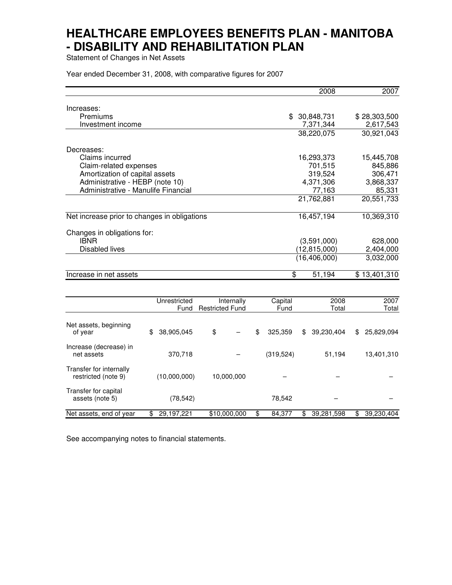Statement of Changes in Net Assets

Year ended December 31, 2008, with comparative figures for 2007

|                                                    | 2008               | 2007                                         |
|----------------------------------------------------|--------------------|----------------------------------------------|
| Increases:                                         |                    |                                              |
| Premiums                                           | \$<br>30,848,731   | \$28,303,500                                 |
| Investment income                                  | 7,371,344          | 2,617,543                                    |
|                                                    | 38,220,075         | 30,921,043                                   |
| Decreases:                                         |                    |                                              |
| Claims incurred                                    | 16,293,373         | 15,445,708                                   |
| Claim-related expenses                             | 701,515            | 845,886                                      |
| Amortization of capital assets                     | 319,524            | 306,471                                      |
| Administrative - HEBP (note 10)                    | 4,371,306          | 3,868,337                                    |
| Administrative - Manulife Financial                | 77,163             | 85,331                                       |
|                                                    | 21,762,881         | 20,551,733                                   |
| Net increase prior to changes in obligations       | 16,457,194         | 10,369,310                                   |
| Changes in obligations for:                        |                    |                                              |
| <b>IBNR</b>                                        | (3,591,000)        | 628,000                                      |
| <b>Disabled lives</b>                              | (12, 815, 000)     | 2,404,000                                    |
|                                                    | (16, 406, 000)     | 3,032,000                                    |
| Increase in net assets                             | 51,194<br>\$       | \$13,401,310                                 |
|                                                    |                    |                                              |
| Unrestricted<br>Internally<br>Eund Doctrictod Eund | Capital<br>$E$ und | 2007<br>2008<br>$T_{\alpha}$ tol<br>$T0$ tol |

|                                                | Fund             | <b>Restricted Fund</b> | Fund          | Total            | Total            |
|------------------------------------------------|------------------|------------------------|---------------|------------------|------------------|
| Net assets, beginning<br>of year               | 38,905,045<br>\$ | \$                     | 325.359<br>\$ | 39,230,404<br>\$ | 25,829,094<br>\$ |
| Increase (decrease) in<br>net assets           | 370,718          |                        | (319,524)     | 51,194           | 13,401,310       |
| Transfer for internally<br>restricted (note 9) | (10,000,000)     | 10,000,000             |               |                  |                  |
| Transfer for capital<br>assets (note 5)        | (78,542)         |                        | 78,542        |                  |                  |
| Net assets, end of year                        | 29,197,221<br>\$ | \$10,000,000           | 84,377        | 39,281,598<br>\$ | 39,230,404<br>\$ |

See accompanying notes to financial statements.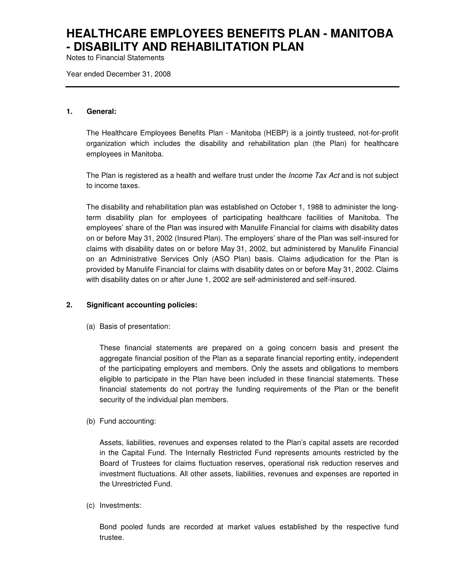Notes to Financial Statements

Year ended December 31, 2008

#### **1. General:**

The Healthcare Employees Benefits Plan - Manitoba (HEBP) is a jointly trusteed, not-for-profit organization which includes the disability and rehabilitation plan (the Plan) for healthcare employees in Manitoba.

The Plan is registered as a health and welfare trust under the *Income Tax Act* and is not subject to income taxes.

The disability and rehabilitation plan was established on October 1, 1988 to administer the longterm disability plan for employees of participating healthcare facilities of Manitoba. The employees' share of the Plan was insured with Manulife Financial for claims with disability dates on or before May 31, 2002 (Insured Plan). The employers' share of the Plan was self-insured for claims with disability dates on or before May 31, 2002, but administered by Manulife Financial on an Administrative Services Only (ASO Plan) basis. Claims adjudication for the Plan is provided by Manulife Financial for claims with disability dates on or before May 31, 2002. Claims with disability dates on or after June 1, 2002 are self-administered and self-insured.

### **2. Significant accounting policies:**

(a) Basis of presentation:

These financial statements are prepared on a going concern basis and present the aggregate financial position of the Plan as a separate financial reporting entity, independent of the participating employers and members. Only the assets and obligations to members eligible to participate in the Plan have been included in these financial statements. These financial statements do not portray the funding requirements of the Plan or the benefit security of the individual plan members.

(b) Fund accounting:

Assets, liabilities, revenues and expenses related to the Plan's capital assets are recorded in the Capital Fund. The Internally Restricted Fund represents amounts restricted by the Board of Trustees for claims fluctuation reserves, operational risk reduction reserves and investment fluctuations. All other assets, liabilities, revenues and expenses are reported in the Unrestricted Fund.

(c) Investments:

Bond pooled funds are recorded at market values established by the respective fund trustee.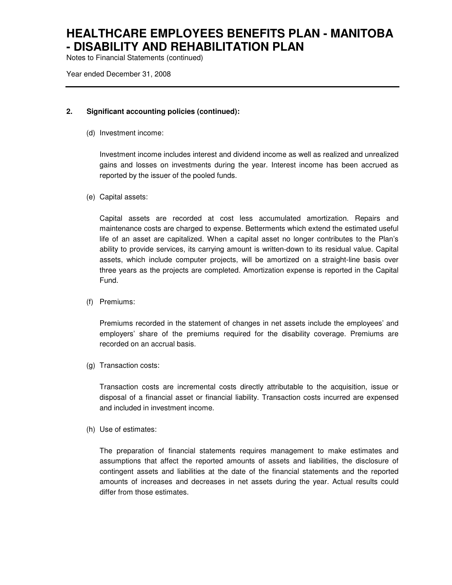Notes to Financial Statements (continued)

Year ended December 31, 2008

### **2. Significant accounting policies (continued):**

(d) Investment income:

Investment income includes interest and dividend income as well as realized and unrealized gains and losses on investments during the year. Interest income has been accrued as reported by the issuer of the pooled funds.

(e) Capital assets:

Capital assets are recorded at cost less accumulated amortization. Repairs and maintenance costs are charged to expense. Betterments which extend the estimated useful life of an asset are capitalized. When a capital asset no longer contributes to the Plan's ability to provide services, its carrying amount is written-down to its residual value. Capital assets, which include computer projects, will be amortized on a straight-line basis over three years as the projects are completed. Amortization expense is reported in the Capital Fund.

(f) Premiums:

Premiums recorded in the statement of changes in net assets include the employees' and employers' share of the premiums required for the disability coverage. Premiums are recorded on an accrual basis.

(g) Transaction costs:

Transaction costs are incremental costs directly attributable to the acquisition, issue or disposal of a financial asset or financial liability. Transaction costs incurred are expensed and included in investment income.

(h) Use of estimates:

The preparation of financial statements requires management to make estimates and assumptions that affect the reported amounts of assets and liabilities, the disclosure of contingent assets and liabilities at the date of the financial statements and the reported amounts of increases and decreases in net assets during the year. Actual results could differ from those estimates.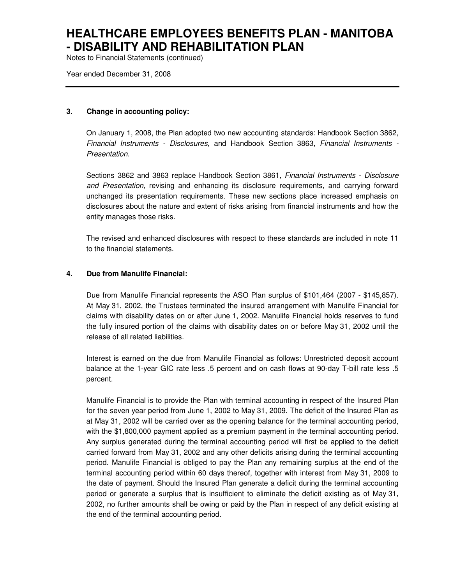Notes to Financial Statements (continued)

Year ended December 31, 2008

#### **3. Change in accounting policy:**

On January 1, 2008, the Plan adopted two new accounting standards: Handbook Section 3862, Financial Instruments - Disclosures, and Handbook Section 3863, Financial Instruments - Presentation.

Sections 3862 and 3863 replace Handbook Section 3861, Financial Instruments - Disclosure and Presentation, revising and enhancing its disclosure requirements, and carrying forward unchanged its presentation requirements. These new sections place increased emphasis on disclosures about the nature and extent of risks arising from financial instruments and how the entity manages those risks.

The revised and enhanced disclosures with respect to these standards are included in note 11 to the financial statements.

#### **4. Due from Manulife Financial:**

Due from Manulife Financial represents the ASO Plan surplus of \$101,464 (2007 - \$145,857). At May 31, 2002, the Trustees terminated the insured arrangement with Manulife Financial for claims with disability dates on or after June 1, 2002. Manulife Financial holds reserves to fund the fully insured portion of the claims with disability dates on or before May 31, 2002 until the release of all related liabilities.

Interest is earned on the due from Manulife Financial as follows: Unrestricted deposit account balance at the 1-year GIC rate less .5 percent and on cash flows at 90-day T-bill rate less .5 percent.

Manulife Financial is to provide the Plan with terminal accounting in respect of the Insured Plan for the seven year period from June 1, 2002 to May 31, 2009. The deficit of the Insured Plan as at May 31, 2002 will be carried over as the opening balance for the terminal accounting period, with the \$1,800,000 payment applied as a premium payment in the terminal accounting period. Any surplus generated during the terminal accounting period will first be applied to the deficit carried forward from May 31, 2002 and any other deficits arising during the terminal accounting period. Manulife Financial is obliged to pay the Plan any remaining surplus at the end of the terminal accounting period within 60 days thereof, together with interest from May 31, 2009 to the date of payment. Should the Insured Plan generate a deficit during the terminal accounting period or generate a surplus that is insufficient to eliminate the deficit existing as of May 31, 2002, no further amounts shall be owing or paid by the Plan in respect of any deficit existing at the end of the terminal accounting period.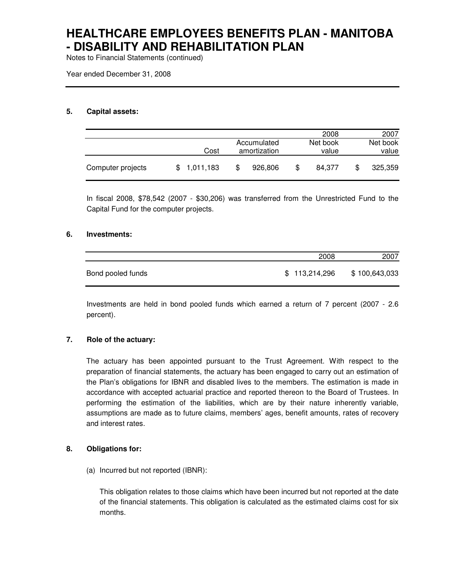Notes to Financial Statements (continued)

Year ended December 31, 2008

### **5. Capital assets:**

|                   |           |              | 2008         | 2007     |
|-------------------|-----------|--------------|--------------|----------|
|                   |           | Accumulated  | Net book     | Net book |
|                   | Cost      | amortization | value        | value    |
| Computer projects | 1,011,183 | 926,806      | \$<br>84.377 | 325,359  |

In fiscal 2008, \$78,542 (2007 - \$30,206) was transferred from the Unrestricted Fund to the Capital Fund for the computer projects.

#### **6. Investments:**

|                   | 2008          | 2007          |
|-------------------|---------------|---------------|
| Bond pooled funds | \$113,214,296 | \$100,643,033 |

Investments are held in bond pooled funds which earned a return of 7 percent (2007 - 2.6 percent).

### **7. Role of the actuary:**

The actuary has been appointed pursuant to the Trust Agreement. With respect to the preparation of financial statements, the actuary has been engaged to carry out an estimation of the Plan's obligations for IBNR and disabled lives to the members. The estimation is made in accordance with accepted actuarial practice and reported thereon to the Board of Trustees. In performing the estimation of the liabilities, which are by their nature inherently variable, assumptions are made as to future claims, members' ages, benefit amounts, rates of recovery and interest rates.

### **8. Obligations for:**

(a) Incurred but not reported (IBNR):

This obligation relates to those claims which have been incurred but not reported at the date of the financial statements. This obligation is calculated as the estimated claims cost for six months.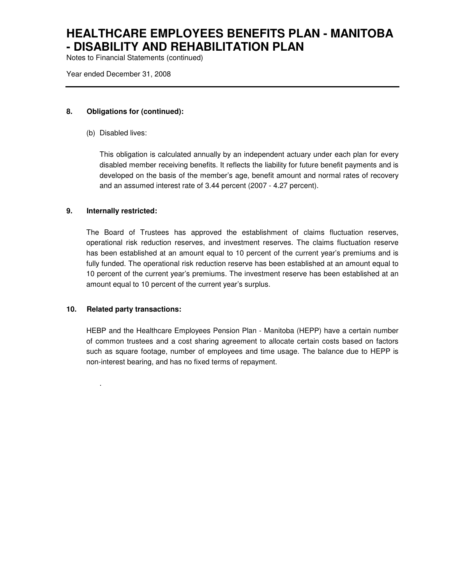Notes to Financial Statements (continued)

Year ended December 31, 2008

### **8. Obligations for (continued):**

(b) Disabled lives:

This obligation is calculated annually by an independent actuary under each plan for every disabled member receiving benefits. It reflects the liability for future benefit payments and is developed on the basis of the member's age, benefit amount and normal rates of recovery and an assumed interest rate of 3.44 percent (2007 - 4.27 percent).

### **9. Internally restricted:**

The Board of Trustees has approved the establishment of claims fluctuation reserves, operational risk reduction reserves, and investment reserves. The claims fluctuation reserve has been established at an amount equal to 10 percent of the current year's premiums and is fully funded. The operational risk reduction reserve has been established at an amount equal to 10 percent of the current year's premiums. The investment reserve has been established at an amount equal to 10 percent of the current year's surplus.

### **10. Related party transactions:**

.

HEBP and the Healthcare Employees Pension Plan - Manitoba (HEPP) have a certain number of common trustees and a cost sharing agreement to allocate certain costs based on factors such as square footage, number of employees and time usage. The balance due to HEPP is non-interest bearing, and has no fixed terms of repayment.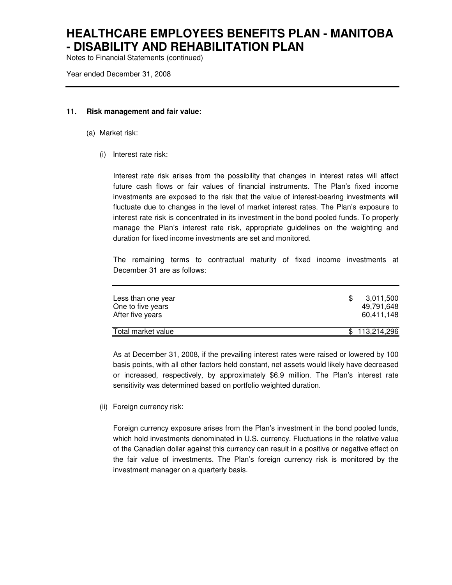Notes to Financial Statements (continued)

Year ended December 31, 2008

#### **11. Risk management and fair value:**

- (a) Market risk:
	- (i) Interest rate risk:

Interest rate risk arises from the possibility that changes in interest rates will affect future cash flows or fair values of financial instruments. The Plan's fixed income investments are exposed to the risk that the value of interest-bearing investments will fluctuate due to changes in the level of market interest rates. The Plan's exposure to interest rate risk is concentrated in its investment in the bond pooled funds. To properly manage the Plan's interest rate risk, appropriate guidelines on the weighting and duration for fixed income investments are set and monitored.

The remaining terms to contractual maturity of fixed income investments at December 31 are as follows:

| Less than one year<br>One to five years<br>After five years | 3.011.500<br>49,791,648<br>60.411.148 |
|-------------------------------------------------------------|---------------------------------------|
| Total market value                                          | \$113,214,296                         |

As at December 31, 2008, if the prevailing interest rates were raised or lowered by 100 basis points, with all other factors held constant, net assets would likely have decreased or increased, respectively, by approximately \$6.9 million. The Plan's interest rate sensitivity was determined based on portfolio weighted duration.

(ii) Foreign currency risk:

Foreign currency exposure arises from the Plan's investment in the bond pooled funds, which hold investments denominated in U.S. currency. Fluctuations in the relative value of the Canadian dollar against this currency can result in a positive or negative effect on the fair value of investments. The Plan's foreign currency risk is monitored by the investment manager on a quarterly basis.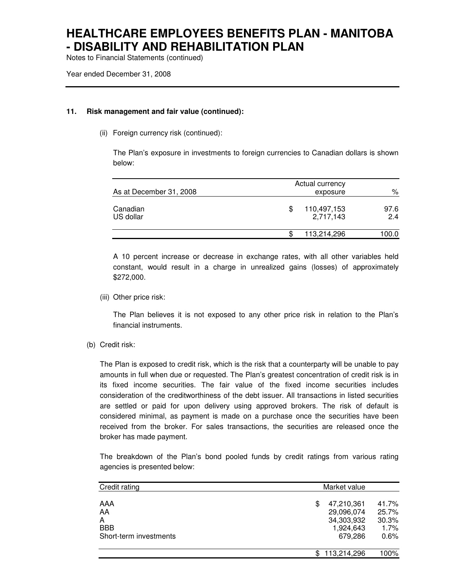Notes to Financial Statements (continued)

Year ended December 31, 2008

#### **11. Risk management and fair value (continued):**

(ii) Foreign currency risk (continued):

The Plan's exposure in investments to foreign currencies to Canadian dollars is shown below:

| As at December 31, 2008 | Actual currency<br>exposure   |             |  |
|-------------------------|-------------------------------|-------------|--|
| Canadian<br>US dollar   | 110,497,153<br>S<br>2,717,143 | 97.6<br>2.4 |  |
|                         | 113,214,296<br>S              | 100.0       |  |

A 10 percent increase or decrease in exchange rates, with all other variables held constant, would result in a charge in unrealized gains (losses) of approximately \$272,000.

(iii) Other price risk:

The Plan believes it is not exposed to any other price risk in relation to the Plan's financial instruments.

(b) Credit risk:

The Plan is exposed to credit risk, which is the risk that a counterparty will be unable to pay amounts in full when due or requested. The Plan's greatest concentration of credit risk is in its fixed income securities. The fair value of the fixed income securities includes consideration of the creditworthiness of the debt issuer. All transactions in listed securities are settled or paid for upon delivery using approved brokers. The risk of default is considered minimal, as payment is made on a purchase once the securities have been received from the broker. For sales transactions, the securities are released once the broker has made payment.

The breakdown of the Plan's bond pooled funds by credit ratings from various rating agencies is presented below:

| Credit rating                                          |                                                                      | Market value                            |  |  |  |
|--------------------------------------------------------|----------------------------------------------------------------------|-----------------------------------------|--|--|--|
| AAA<br>AA<br>A<br><b>BBB</b><br>Short-term investments | 47,210,361<br>\$<br>29,096,074<br>34,303,932<br>1,924,643<br>679.286 | 41.7%<br>25.7%<br>30.3%<br>1.7%<br>0.6% |  |  |  |
|                                                        | 113,214,296                                                          | 100%                                    |  |  |  |